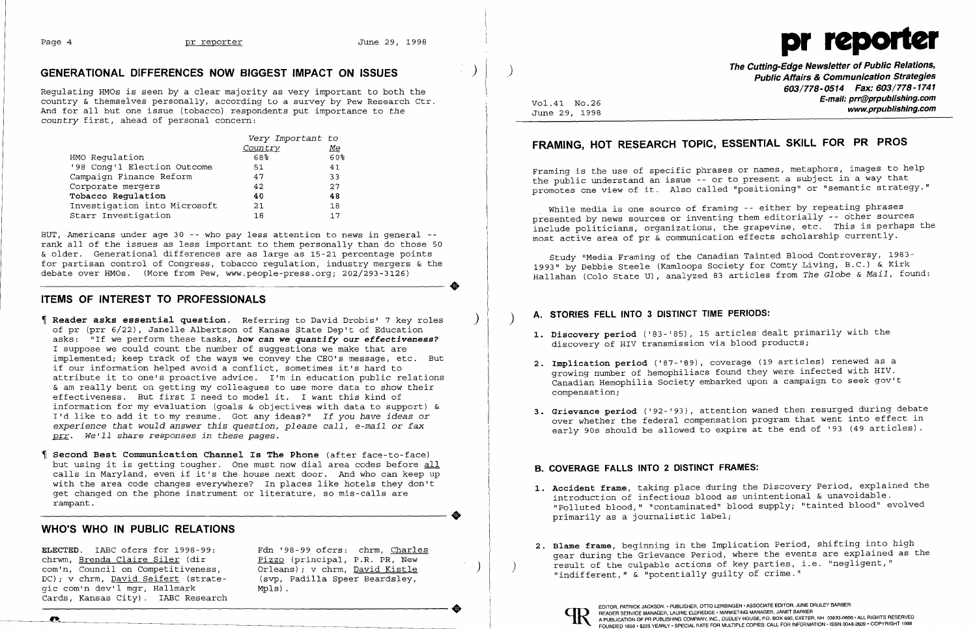$\bullet$ 



# **GENERATIONAL DIFFERENCES NOW BIGGEST IMPACT ON ISSUES** )

Regulating HMOs is seen by a clear majority as very important to both the country & themselves personally, according to a survey by Pew Research Ctr. And for all but one issue (tobacco) respondents put importance to *the*  country first, ahead of personal concern:

|                              | Very Important to |           |
|------------------------------|-------------------|-----------|
|                              | Country           | <u>Ме</u> |
| HMO Requlation               | 68%               | 60%       |
| '98 Cong'l Election Outcome  | 51                | 41        |
| Campaign Finance Reform      | 47                | 33        |
| Corporate mergers            | 42                | 27        |
| Tobacco Regulation           | 40                | 48        |
| Investigation into Microsoft | 21                | 18        |
| Starr Investigation          | 18                | 17        |

BUT, Americans under age 30 -- who pay less attention to news in general -rank all of the issues as less important to them personally than do those 50 & older. Generational differences are as large as 15-21 percentage points for partisan control of Congress, tobacco regulation, industry mergers & the debate over HMOs. (More from Pew, www.people-press.org; 202/293-3126)

## **ITEMS OF INTEREST TO PROFESSIONALS**

**Reader asks essential question.** Referring to David Drobis' 7 key roles ) of pr (prr 6/22), Janelle Albertson of Kansas State Dep't of Education asks: "If we perform these tasks, *how* **can** *we quantify* **our effectiveness?**  I suppose we could count the number of suggestions we make that are implemented; keep track of the ways we convey the CEO's message, etc. But if our information helped avoid a conflict, sometimes it's hard to attribute it to one's proactive advice. I'm in education public relations & am really bent on getting my colleagues to use more data to show their effectiveness. But first I need to model it. I want this kind of information for my evaluation (goals & objectives with data to support) & I'd like to add it to my resume. Got any ideas?" *If you have ideas* or *experience that would answer this question, please call, e-mail* or *fax prr. We'll share responses in these* pages.

While media is one source of framing -- either by repeating phrases presented by news sources or inventing them editorially - other sources include politicians, organizations, the grapevine, etc. This is perhaps the most active area of pr & communication effects scholarship currently.

**Second Best Communication Channel Is The Phone** (after face-to-face) but using it is getting tougher. One must now dial area codes before all calls in Maryland, even if it's the house next door. And who can keep up with the area code changes everywhere? In places like hotels they don't get changed on the phone instrument or literature, so mis-calls are rampant.

## **WHO'S WHO IN PUBLIC RELATIONS**

chrwm, Brenda Claire Siler (dir (dir pizzo (principal, P.R. PR, New only and the Grievance Period, where the events are explained as the com'n, Council on Competitiveness, Orleans); v chrm, David Kistle (dir pizzo (princip gic com'n dev'l mgr, Hallmark Cards, Kansas City). IABC Research DC); v chrm, <u>David Seitert</u> (strate- (svp, Padilla Speer Beardsley,<br>gic com'n dev'l mgr, Hallmark Mpls).<br>Cards, Kansas City). IABC Research MPLS).<br>The presence MANAGER, AND READER SERVICE MANAGER, AND READER SERVICE MANAG

 $Mpls)$ .

**June 29, 1998** 

**The Cutting-Edge Newsletter of Public Relations,** ) **Public Affairs & Communication Strategies 603/778-0514 Fax: 603/778-1741 E-mail: prr@prpublishing.com** Vol. 41 No.26

# **FRAMING, HOT RESEARCH TOPIC, ESSENTIAL SKILL FOR PR PROS**

Framing is the use of specific phrases or names, metaphors, images to help the public understand an issue - or to present a subject in a way that promotes one view of it. Also called "positioning" or "semantic strategy."

Study "Media Framing of the Canadian Tainted Blood Controversy, 1983 1993" by Debbie Steele (Kamloops Society for Comty Living, B.C.) & Kirk Hallahan (Colo State U), analyzed 83 articles from *The Globe* & *Mail,* found:

I I

 $\clubsuit$ 

### ) **A. STORIES FEll INTO 3 DISTINCT TIME PERIODS:**

**1. Discovery period** ('83-'85), 15 articles dealt primarily with the

**2. Implication period** ('87-'89), coverage (19 articles) renewed as a

- discovery of HIV transmission via blood products;
- growing number of hemophiliacs found they were infected with HIV. Canadian Hemophilia Society embarked upon a campaign to seek gov't compensation;
- 

**3. Grievance period** ('92-'93), attention waned then resurged during debate over whether the federal compensation program that went into effect in early 90s should be allowed to expire at the end of '93 (49 articles).

## **B. COVERAGE FAllS INTO 2 DISTINCT FRAMES:**

**1. Accident frame,** taking place during the Discovery Period, explained the "Polluted blood," "contaminated" blood supply; "tainted blood" evolved

**2. Blame frame**, beginning in the Implication Period, shifting into high **ELECTED**. IABC ofcrs for 1998-99: Fdn '98-99 ofcrs: chrm, <u>Charles</u> (2. Blame frame, beginning in the Implication Period, shifting into high chrwm,

- introduction of infectious blood as unintentional & unavoidable. primarily as a journalistic label;
-